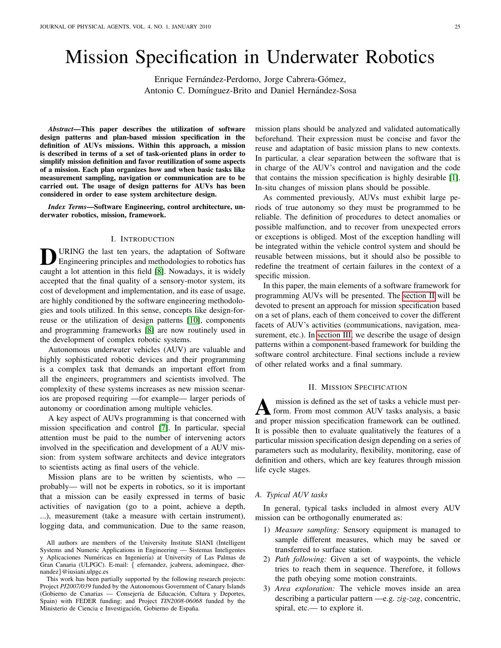# Mission Specification in Underwater Robotics

Enrique Fernández-Perdomo, Jorge Cabrera-Gómez, Antonio C. Domínguez-Brito and Daniel Hernández-Sosa

*Abstract*—This paper describes the utilization of software design patterns and plan-based mission specification in the definition of AUVs missions. Within this approach, a mission is described in terms of a set of task-oriented plans in order to simplify mission definition and favor reutilization of some aspects of a mission. Each plan organizes how and when basic tasks like measurement sampling, navigation or communication are to be carried out. The usage of design patterns for AUVs has been considered in order to ease system architecture design.

*Index Terms*—Software Engineering, control architecture, underwater robotics, mission, framework.

#### I. INTRODUCTION

**D** URING the last ten years, the adaptation of Software<br>Engineering principles and methodologies to robotics has URING the last ten years, the adaptation of Software caught a lot attention in this field [\[8\]](#page-8-0). Nowadays, it is widely accepted that the final quality of a sensory-motor system, its cost of development and implementation, and its ease of usage, are highly conditioned by the software engineering methodologies and tools utilized. In this sense, concepts like design-forreuse or the utilization of design patterns [\[10\]](#page-8-1), components and programming frameworks [\[8\]](#page-8-0) are now routinely used in the development of complex robotic systems.

Autonomous underwater vehicles (AUV) are valuable and highly sophisticated robotic devices and their programming is a complex task that demands an important effort from all the engineers, programmers and scientists involved. The complexity of these systems increases as new mission scenarios are proposed requiring —for example— larger periods of autonomy or coordination among multiple vehicles.

A key aspect of AUVs programming is that concerned with mission specification and control [\[7\]](#page-8-2). In particular, special attention must be paid to the number of intervening actors involved in the specification and development of a AUV mission: from system software architects and device integrators to scientists acting as final users of the vehicle.

Mission plans are to be written by scientists, who  $$ probably— will not be experts in robotics, so it is important that a mission can be easily expressed in terms of basic activities of navigation (go to a point, achieve a depth, ...), measurement (take a measure with certain instrument), logging data, and communication. Due to the same reason, mission plans should be analyzed and validated automatically beforehand. Their expression must be concise and favor the reuse and adaptation of basic mission plans to new contexts. In particular, a clear separation between the software that is in charge of the AUV's control and navigation and the code that contains the mission specification is highly desirable [\[1\]](#page-7-0). In-situ changes of mission plans should be possible.

As commented previously, AUVs must exhibit large periods of true autonomy so they must be programmed to be reliable. The definition of procedures to detect anomalies or possible malfunction, and to recover from unexpected errors or exceptions is obliged. Most of the exception handling will be integrated within the vehicle control system and should be reusable between missions, but it should also be possible to redefine the treatment of certain failures in the context of a specific mission.

In this paper, the main elements of a software framework for programming AUVs will be presented. The [section II](#page-0-0) will be devoted to present an approach for mission specification based on a set of plans, each of them conceived to cover the different facets of AUV's activities (communications, navigation, measurement, etc.). In [section III,](#page-3-0) we describe the usage of design patterns within a component-based framework for building the software control architecture. Final sections include a review of other related works and a final summary.

## II. MISSION SPECIFICATION

<span id="page-0-0"></span>**A** mission is defined as the set of tasks a vehicle must perform. From most common AUV tasks analysis, a basic and proper mission specification framework can be outlined. mission is defined as the set of tasks a vehicle must perform. From most common AUV tasks analysis, a basic It is possible then to evaluate qualitatively the features of a particular mission specification design depending on a series of parameters such as modularity, flexibility, monitoring, ease of definition and others, which are key features through mission life cycle stages.

# *A. Typical AUV tasks*

In general, typical tasks included in almost every AUV mission can be orthogonally enumerated as:

- 1) *Measure sampling:* Sensory equipment is managed to sample different measures, which may be saved or transferred to surface station.
- 2) *Path following:* Given a set of waypoints, the vehicle tries to reach them in sequence. Therefore, it follows the path obeying some motion constraints.
- 3) *Area exploration:* The vehicle moves inside an area describing a particular pattern —e.g. *zig-zag*, concentric, spiral, etc.— to explore it.

All authors are members of the University Institute SIANI (Intelligent Systems and Numeric Applications in Engineering — Sistemas Inteligentes y Aplicaciones Numéricas en Ingeniería) at University of Las Palmas de Gran Canaria (ULPGC). E-mail: { efernandez, jcabrera, adominguez, dhernandez}@iusiani.ulpgc.es

This work has been partially supported by the following research projects: Project *PI2007/039* funded by the Autonomous Government of Canary Islands (Gobierno de Canarias — Consejería de Educación, Cultura y Deportes, Spain) with FEDER funding; and Project *TIN2008-06068* funded by the Ministerio de Ciencia e Investigación, Gobierno de España.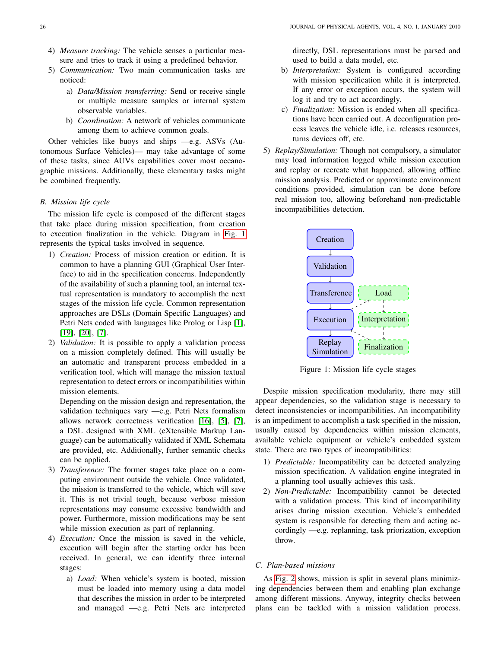- 4) *Measure tracking:* The vehicle senses a particular measure and tries to track it using a predefined behavior.
- 5) *Communication:* Two main communication tasks are noticed:
	- a) *Data/Mission transferring:* Send or receive single or multiple measure samples or internal system observable variables.
	- b) *Coordination:* A network of vehicles communicate among them to achieve common goals.

Other vehicles like buoys and ships —e.g. ASVs (Autonomous Surface Vehicles)— may take advantage of some of these tasks, since AUVs capabilities cover most oceanographic missions. Additionally, these elementary tasks might be combined frequently.

# *B. Mission life cycle*

The mission life cycle is composed of the different stages that take place during mission specification, from creation to execution finalization in the vehicle. Diagram in [Fig. 1](#page-1-0) represents the typical tasks involved in sequence.

- 1) *Creation:* Process of mission creation or edition. It is common to have a planning GUI (Graphical User Interface) to aid in the specification concerns. Independently of the availability of such a planning tool, an internal textual representation is mandatory to accomplish the next stages of the mission life cycle. Common representation approaches are DSLs (Domain Specific Languages) and Petri Nets coded with languages like Prolog or Lisp [\[1\]](#page-7-0), [\[19\]](#page-8-3), [\[20\]](#page-8-4), [\[7\]](#page-8-2).
- 2) *Validation:* It is possible to apply a validation process on a mission completely defined. This will usually be an automatic and transparent process embedded in a verification tool, which will manage the mission textual representation to detect errors or incompatibilities within mission elements.

Depending on the mission design and representation, the validation techniques vary —e.g. Petri Nets formalism allows network correctness verification [\[16\]](#page-8-5), [\[5\]](#page-8-6), [\[7\]](#page-8-2), a DSL designed with XML (eXtensible Markup Language) can be automatically validated if XML Schemata are provided, etc. Additionally, further semantic checks can be applied.

- 3) *Transference:* The former stages take place on a computing environment outside the vehicle. Once validated, the mission is transferred to the vehicle, which will save it. This is not trivial tough, because verbose mission representations may consume excessive bandwidth and power. Furthermore, mission modifications may be sent while mission execution as part of replanning.
- 4) *Execution:* Once the mission is saved in the vehicle, execution will begin after the starting order has been received. In general, we can identify three internal stages:
	- a) *Load:* When vehicle's system is booted, mission must be loaded into memory using a data model that describes the mission in order to be interpreted and managed —e.g. Petri Nets are interpreted

directly, DSL representations must be parsed and used to build a data model, etc.

- b) *Interpretation:* System is configured according with mission specification while it is interpreted. If any error or exception occurs, the system will log it and try to act accordingly.
- c) *Finalization:* Mission is ended when all specifications have been carried out. A deconfiguration process leaves the vehicle idle, i.e. releases resources, turns devices off, etc.
- 5) *Replay/Simulation:* Though not compulsory, a simulator may load information logged while mission execution and replay or recreate what happened, allowing offline mission analysis. Predicted or approximate environment conditions provided, simulation can be done before real mission too, allowing beforehand non-predictable incompatibilities detection.

<span id="page-1-0"></span>

Figure 1: Mission life cycle stages

Despite mission specification modularity, there may still appear dependencies, so the validation stage is necessary to detect inconsistencies or incompatibilities. An incompatibility is an impediment to accomplish a task specified in the mission, usually caused by dependencies within mission elements, available vehicle equipment or vehicle's embedded system state. There are two types of incompatibilities:

- 1) *Predictable:* Incompatibility can be detected analyzing mission specification. A validation engine integrated in a planning tool usually achieves this task.
- 2) *Non-Predictable:* Incompatibility cannot be detected with a validation process. This kind of incompatibility arises during mission execution. Vehicle's embedded system is responsible for detecting them and acting accordingly —e.g. replanning, task priorization, exception throw.

#### *C. Plan-based missions*

As [Fig. 2](#page-2-0) shows, mission is split in several plans minimizing dependencies between them and enabling plan exchange among different missions. Anyway, integrity checks between plans can be tackled with a mission validation process.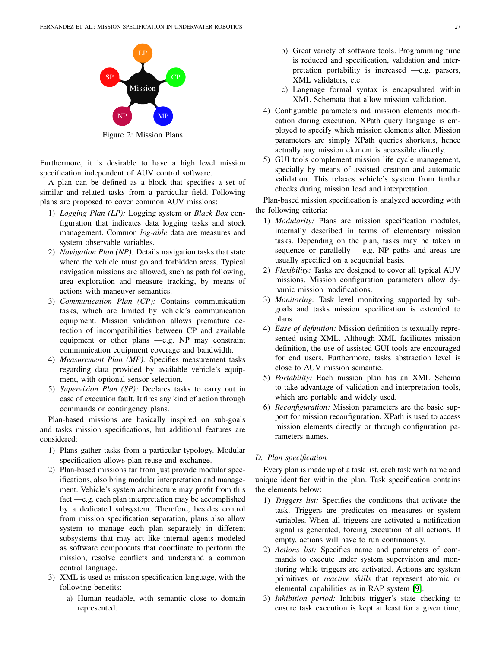<span id="page-2-0"></span>

Figure 2: Mission Plans

Furthermore, it is desirable to have a high level mission specification independent of AUV control software.

A plan can be defined as a block that specifies a set of similar and related tasks from a particular field. Following plans are proposed to cover common AUV missions:

- 1) *Logging Plan (LP):* Logging system or *Black Box* configuration that indicates data logging tasks and stock management. Common *log-able* data are measures and system observable variables.
- 2) *Navigation Plan (NP):* Details navigation tasks that state where the vehicle must go and forbidden areas. Typical navigation missions are allowed, such as path following, area exploration and measure tracking, by means of actions with maneuver semantics.
- 3) *Communication Plan (CP):* Contains communication tasks, which are limited by vehicle's communication equipment. Mission validation allows premature detection of incompatibilities between CP and available equipment or other plans —e.g. NP may constraint communication equipment coverage and bandwidth.
- 4) *Measurement Plan (MP):* Specifies measurement tasks regarding data provided by available vehicle's equipment, with optional sensor selection.
- 5) *Supervision Plan (SP):* Declares tasks to carry out in case of execution fault. It fires any kind of action through commands or contingency plans.

Plan-based missions are basically inspired on sub-goals and tasks mission specifications, but additional features are considered:

- 1) Plans gather tasks from a particular typology. Modular specification allows plan reuse and exchange.
- 2) Plan-based missions far from just provide modular specifications, also bring modular interpretation and management. Vehicle's system architecture may profit from this fact —e.g. each plan interpretation may be accomplished by a dedicated subsystem. Therefore, besides control from mission specification separation, plans also allow system to manage each plan separately in different subsystems that may act like internal agents modeled as software components that coordinate to perform the mission, resolve conflicts and understand a common control language.
- 3) XML is used as mission specification language, with the following benefits:
	- a) Human readable, with semantic close to domain represented.
- b) Great variety of software tools. Programming time is reduced and specification, validation and interpretation portability is increased —e.g. parsers, XML validators, etc.
- c) Language formal syntax is encapsulated within XML Schemata that allow mission validation.
- 4) Configurable parameters aid mission elements modification during execution. XPath query language is employed to specify which mission elements alter. Mission parameters are simply XPath queries shortcuts, hence actually any mission element is accessible directly.
- 5) GUI tools complement mission life cycle management, specially by means of assisted creation and automatic validation. This relaxes vehicle's system from further checks during mission load and interpretation.

Plan-based mission specification is analyzed according with the following criteria:

- 1) *Modularity:* Plans are mission specification modules, internally described in terms of elementary mission tasks. Depending on the plan, tasks may be taken in sequence or parallelly —e.g. NP paths and areas are usually specified on a sequential basis.
- 2) *Flexibility:* Tasks are designed to cover all typical AUV missions. Mission configuration parameters allow dynamic mission modifications.
- 3) *Monitoring:* Task level monitoring supported by subgoals and tasks mission specification is extended to plans.
- 4) *Ease of definition:* Mission definition is textually represented using XML. Although XML facilitates mission definition, the use of assisted GUI tools are encouraged for end users. Furthermore, tasks abstraction level is close to AUV mission semantic.
- 5) *Portability:* Each mission plan has an XML Schema to take advantage of validation and interpretation tools, which are portable and widely used.
- 6) *Reconfiguration:* Mission parameters are the basic support for mission reconfiguration. XPath is used to access mission elements directly or through configuration parameters names.

# *D. Plan specification*

Every plan is made up of a task list, each task with name and unique identifier within the plan. Task specification contains the elements below:

- 1) *Triggers list:* Specifies the conditions that activate the task. Triggers are predicates on measures or system variables. When all triggers are activated a notification signal is generated, forcing execution of all actions. If empty, actions will have to run continuously.
- 2) *Actions list:* Specifies name and parameters of commands to execute under system supervision and monitoring while triggers are activated. Actions are system primitives or *reactive skills* that represent atomic or elemental capabilities as in RAP system [\[9\]](#page-8-7).
- 3) *Inhibition period:* Inhibits trigger's state checking to ensure task execution is kept at least for a given time,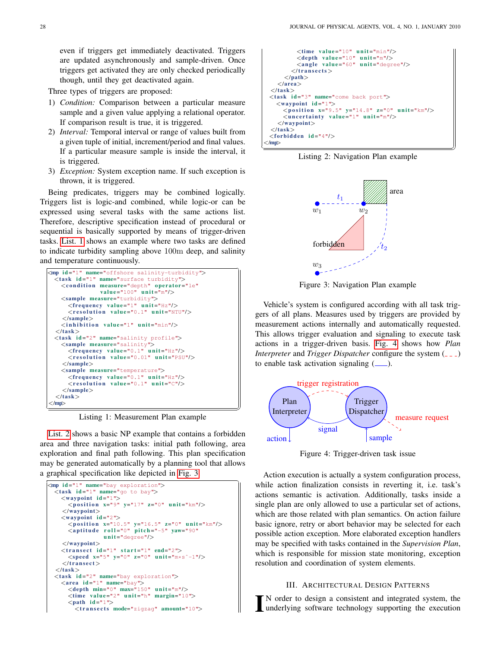even if triggers get immediately deactivated. Triggers are updated asynchronously and sample-driven. Once triggers get activated they are only checked periodically though, until they get deactivated again.

Three types of triggers are proposed:

- 1) *Condition:* Comparison between a particular measure sample and a given value applying a relational operator. If comparison result is true, it is triggered.
- 2) *Interval:* Temporal interval or range of values built from a given tuple of initial, increment/period and final values. If a particular measure sample is inside the interval, it is triggered.
- 3) *Exception:* System exception name. If such exception is thrown, it is triggered.

Being predicates, triggers may be combined logically. Triggers list is logic-and combined, while logic-or can be expressed using several tasks with the same actions list. Therefore, descriptive specification instead of procedural or sequential is basically supported by means of trigger-driven tasks. [List. 1](#page-3-1) shows an example where two tasks are defined to indicate turbidity sampling above 100m deep, and salinity and temperature continuously.  $\overline{a}$ 

<span id="page-3-1"></span>

Listing 1: Measurement Plan example

[List. 2](#page-3-2) shows a basic NP example that contains a forbidden area and three navigation tasks: initial path following, area exploration and final path following. This plan specification may be generated automatically by a planning tool that allows a graphical specification like depicted in [Fig. 3.](#page-3-3)

 $\overline{a}$ 

```
\langlemp id="1" name="bay exploration">
 \frac{1}{2} task id="1" name="go to bay">
    <waypoint id="1">
      \leq position x="9" y="17" z="0" unit="km"/>
     \langle/waypoint\rangle<waypoint id="2">
       <position x="10.5" y="16.5" z="0" unit="km"/><br><aptitude roll="0" pitch="-5" yaw="90"
                    unit="degree'/>\langle/waypoint>\langletransect id="1" start="1" end="2">
       \langle speed x = "5" y = "0" z = "0" unit = "m*s`-1"\langle/transect>
  \langle/task><task id="2" name="bay exploration">
    \langle \text{area} \text{ id} = "1" \text{ name} = "bay">
       \langledepth min="0" max="150" unit="m"/>
       \langletime value="2" unit="h" margin="10">
       \langlepath id="1">
          <transects mode="zigzag" amount="10">
```

```
ltimes value="10" unit="min"/><br>ltimesdepth value="10" unit="m"/>
                    <angle value="60" unit="degree"/>
                \langle/transects></path>\langlearea>\langle/task\rangle<task id="3" name="come back port">
        <waypoint id="1">
            \langle position x="9.5" y="14.8" z="0" unit="km"/>
            \langleuncertainty value="1" unit="m"/>
         \langle/waypoint\rangle\langle/task\rangle<forbidden id="4"/></mp>
\swarrow /mp> \swarrow /mp> \swarrow /mp> \swarrow /mp> \swarrow /mp> \swarrow /mp> \swarrow /mp> \swarrow /mp> \swarrow /mp> \swarrow /mp \swarrow /mp \swarrow /mp \swarrow /mp \swarrow /mp \swarrow /mp \swarrow /mp \swarrow /mp \swarrow /mp \swarrow /mp \swarrow /mp \swarrow /mp \
```
<span id="page-3-3"></span>Listing 2: Navigation Plan example



Figure 3: Navigation Plan example

Vehicle's system is configured according with all task triggers of all plans. Measures used by triggers are provided by measurement actions internally and automatically requested. This allows trigger evaluation and signaling to execute task actions in a trigger-driven basis. [Fig. 4](#page-3-4) shows how *Plan Interpreter* and *Trigger Dispatcher* configure the system ( $\angle$   $\angle$ ) to enable task activation signaling  $(\_\_)$ .

<span id="page-3-4"></span>

Figure 4: Trigger-driven task issue

Action execution is actually a system configuration process, while action finalization consists in reverting it, i.e. task's actions semantic is activation. Additionally, tasks inside a single plan are only allowed to use a particular set of actions, which are those related with plan semantics. On action failure basic ignore, retry or abort behavior may be selected for each possible action exception. More elaborated exception handlers may be specified with tasks contained in the *Supervision Plan*, which is responsible for mission state monitoring, exception resolution and coordination of system elements.

# III. ARCHITECTURAL DESIGN PATTERNS

<span id="page-3-0"></span>I N order to design a consistent and integrated system, the underlying software technology supporting the execution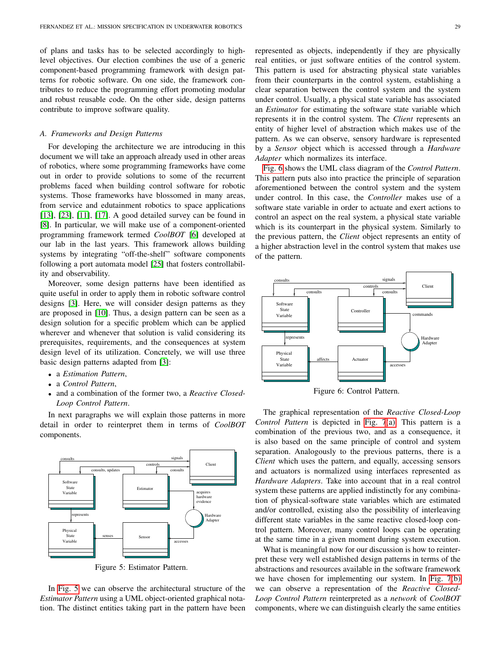of plans and tasks has to be selected accordingly to highlevel objectives. Our election combines the use of a generic component-based programming framework with design patterns for robotic software. On one side, the framework contributes to reduce the programming effort promoting modular and robust reusable code. On the other side, design patterns contribute to improve software quality.

# *A. Frameworks and Design Patterns*

For developing the architecture we are introducing in this document we will take an approach already used in other areas of robotics, where some programming frameworks have come out in order to provide solutions to some of the recurrent problems faced when building control software for robotic systems. Those frameworks have blossomed in many areas, from service and edutainment robotics to space applications [\[13\]](#page-8-8), [\[23\]](#page-8-9), [\[11\]](#page-8-10), [\[17\]](#page-8-11). A good detailed survey can be found in [\[8\]](#page-8-0). In particular, we will make use of a component-oriented programming framework termed *CoolBOT* [\[6\]](#page-8-12) developed at our lab in the last years. This framework allows building systems by integrating "off-the-shelf" software components following a port automata model [\[25\]](#page-8-13) that fosters controllability and observability.

Moreover, some design patterns have been identified as quite useful in order to apply them in robotic software control designs [\[3\]](#page-8-14). Here, we will consider design patterns as they are proposed in [\[10\]](#page-8-1). Thus, a design pattern can be seen as a design solution for a specific problem which can be applied wherever and whenever that solution is valid considering its prerequisites, requirements, and the consequences at system design level of its utilization. Concretely, we will use three basic design patterns adapted from [\[3\]](#page-8-14):

- a *Estimation Pattern*,
- a *Control Pattern*,
- and a combination of the former two, a *Reactive Closed-Loop Control Pattern*.

In next paragraphs we will explain those patterns in more detail in order to reinterpret them in terms of *CoolBOT* components.

<span id="page-4-0"></span>

Figure 5: Estimator Pattern.

In [Fig. 5](#page-4-0) we can observe the architectural structure of the *Estimator Pattern* using a UML object-oriented graphical notation. The distinct entities taking part in the pattern have been

represented as objects, independently if they are physically real entities, or just software entities of the control system. This pattern is used for abstracting physical state variables from their counterparts in the control system, establishing a clear separation between the control system and the system under control. Usually, a physical state variable has associated an *Estimator* for estimating the software state variable which represents it in the control system. The *Client* represents an entity of higher level of abstraction which makes use of the pattern. As we can observe, sensory hardware is represented by a *Sensor* object which is accessed through a *Hardware Adapter* which normalizes its interface.

[Fig. 6](#page-4-1) shows the UML class diagram of the *Control Pattern*. This pattern puts also into practice the principle of separation aforementioned between the control system and the system under control. In this case, the *Controller* makes use of a software state variable in order to actuate and exert actions to control an aspect on the real system, a physical state variable which is its counterpart in the physical system. Similarly to the previous pattern, the *Client* object represents an entity of a higher abstraction level in the control system that makes use of the pattern.

<span id="page-4-1"></span>

Figure 6: Control Pattern.

The graphical representation of the *Reactive Closed-Loop Control Pattern* is depicted in [Fig. 7](#page-5-0)[\(a\).](#page-5-1) This pattern is a combination of the previous two, and as a consequence, it is also based on the same principle of control and system separation. Analogously to the previous patterns, there is a *Client* which uses the pattern, and equally, accessing sensors and actuators is normalized using interfaces represented as *Hardware Adapters*. Take into account that in a real control system these patterns are applied indistinctly for any combination of physical-software state variables which are estimated and/or controlled, existing also the possibility of interleaving different state variables in the same reactive closed-loop control pattern. Moreover, many control loops can be operating at the same time in a given moment during system execution.

What is meaningful now for our discussion is how to reinterpret these very well established design patterns in terms of the abstractions and resources available in the software framework we have chosen for implementing our system. In [Fig. 7](#page-5-0)[\(b\)](#page-5-2) we can observe a representation of the *Reactive Closed-Loop Control Pattern* reinterpreted as a *network* of *CoolBOT* components, where we can distinguish clearly the same entities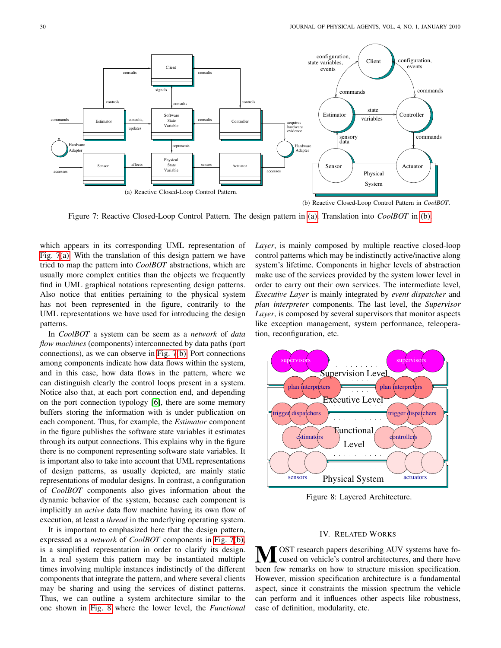<span id="page-5-1"></span><span id="page-5-0"></span>

Figure 7: Reactive Closed-Loop Control Pattern. The design pattern in [\(a\).](#page-5-1) Translation into *CoolBOT* in [\(b\).](#page-5-2)

which appears in its corresponding UML representation of [Fig. 7](#page-5-0)[\(a\).](#page-5-1) With the translation of this design pattern we have tried to map the pattern into *CoolBOT* abstractions, which are usually more complex entities than the objects we frequently find in UML graphical notations representing design patterns. Also notice that entities pertaining to the physical system has not been represented in the figure, contrarily to the UML representations we have used for introducing the design patterns.

In *CoolBOT* a system can be seem as a *network* of *data flow machines* (components) interconnected by data paths (port connections), as we can observe in [Fig. 7](#page-5-0)[\(b\).](#page-5-2) Port connections among components indicate how data flows within the system, and in this case, how data flows in the pattern, where we can distinguish clearly the control loops present in a system. Notice also that, at each port connection end, and depending on the port connection typology [\[6\]](#page-8-12), there are some memory buffers storing the information with is under publication on each component. Thus, for example, the *Estimator* component in the figure publishes the software state variables it estimates through its output connections. This explains why in the figure there is no component representing software state variables. It is important also to take into account that UML representations of design patterns, as usually depicted, are mainly static representations of modular designs. In contrast, a configuration of *CoolBOT* components also gives information about the dynamic behavior of the system, because each component is implicitly an *active* data flow machine having its own flow of execution, at least a *thread* in the underlying operating system.

It is important to emphasized here that the design pattern, expressed as a *network* of *CoolBOT* components in [Fig. 7](#page-5-0)[\(b\),](#page-5-2) is a simplified representation in order to clarify its design. In a real system this pattern may be instantiated multiple times involving multiple instances indistinctly of the different components that integrate the pattern, and where several clients may be sharing and using the services of distinct patterns. Thus, we can outline a system architecture similar to the one shown in [Fig. 8](#page-5-3) where the lower level, the *Functional*

<span id="page-5-2"></span>*Layer*, is mainly composed by multiple reactive closed-loop control patterns which may be indistinctly active/inactive along system's lifetime. Components in higher levels of abstraction make use of the services provided by the system lower level in order to carry out their own services. The intermediate level, *Executive Layer* is mainly integrated by *event dispatcher* and *plan interpreter* components. The last level, the *Supervisor Layer*, is composed by several supervisors that monitor aspects like exception management, system performance, teleoperation, reconfiguration, etc.

<span id="page-5-3"></span>

Figure 8: Layered Architecture.

#### IV. RELATED WORKS

OST research papers describing AUV systems have focused on vehicle's control architectures, and there have been few remarks on how to structure mission specification. However, mission specification architecture is a fundamental aspect, since it constraints the mission spectrum the vehicle can perform and it influences other aspects like robustness, ease of definition, modularity, etc.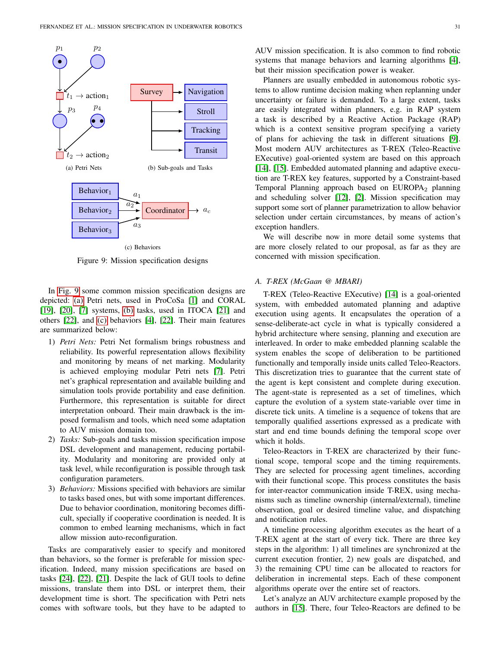<span id="page-6-1"></span><span id="page-6-0"></span>

<span id="page-6-3"></span><span id="page-6-2"></span>Figure 9: Mission specification designs

In [Fig. 9](#page-6-0) some common mission specification designs are depicted: [\(a\)](#page-6-1) Petri nets, used in ProCoSa [\[1\]](#page-7-0) and CORAL [\[19\]](#page-8-3), [\[20\]](#page-8-4), [\[7\]](#page-8-2) systems, [\(b\)](#page-6-2) tasks, used in ITOCA [\[21\]](#page-8-15) and others [\[22\]](#page-8-16), and [\(c\)](#page-6-3) behaviors [\[4\]](#page-8-17), [\[22\]](#page-8-16). Their main features are summarized below:

- 1) *Petri Nets:* Petri Net formalism brings robustness and reliability. Its powerful representation allows flexibility and monitoring by means of net marking. Modularity is achieved employing modular Petri nets [\[7\]](#page-8-2). Petri net's graphical representation and available building and simulation tools provide portability and ease definition. Furthermore, this representation is suitable for direct interpretation onboard. Their main drawback is the imposed formalism and tools, which need some adaptation to AUV mission domain too.
- 2) *Tasks:* Sub-goals and tasks mission specification impose DSL development and management, reducing portability. Modularity and monitoring are provided only at task level, while reconfiguration is possible through task configuration parameters.
- 3) *Behaviors:* Missions specified with behaviors are similar to tasks based ones, but with some important differences. Due to behavior coordination, monitoring becomes difficult, specially if cooperative coordination is needed. It is common to embed learning mechanisms, which in fact allow mission auto-reconfiguration.

Tasks are comparatively easier to specify and monitored than behaviors, so the former is preferable for mission specification. Indeed, many mission specifications are based on tasks [\[24\]](#page-8-18), [\[22\]](#page-8-16), [\[21\]](#page-8-15). Despite the lack of GUI tools to define missions, translate them into DSL or interpret them, their development time is short. The specification with Petri nets comes with software tools, but they have to be adapted to AUV mission specification. It is also common to find robotic systems that manage behaviors and learning algorithms [\[4\]](#page-8-17), but their mission specification power is weaker.

Planners are usually embedded in autonomous robotic systems to allow runtime decision making when replanning under uncertainty or failure is demanded. To a large extent, tasks are easily integrated within planners, e.g. in RAP system a task is described by a Reactive Action Package (RAP) which is a context sensitive program specifying a variety of plans for achieving the task in different situations [\[9\]](#page-8-7). Most modern AUV architectures as T-REX (Teleo-Reactive EXecutive) goal-oriented system are based on this approach [\[14\]](#page-8-19), [\[15\]](#page-8-20). Embedded automated planning and adaptive execution are T-REX key features, supported by a Constraint-based Temporal Planning approach based on  $EUROPA<sub>2</sub>$  planning and scheduling solver [\[12\]](#page-8-21), [\[2\]](#page-8-22). Mission specification may support some sort of planner parametrization to allow behavior selection under certain circumstances, by means of action's exception handlers.

We will describe now in more detail some systems that are more closely related to our proposal, as far as they are concerned with mission specification.

#### *A. T-REX (McGaan @ MBARI)*

T-REX (Teleo-Reactive EXecutive) [\[14\]](#page-8-19) is a goal-oriented system, with embedded automated planning and adaptive execution using agents. It encapsulates the operation of a sense-deliberate-act cycle in what is typically considered a hybrid architecture where sensing, planning and execution are interleaved. In order to make embedded planning scalable the system enables the scope of deliberation to be partitioned functionally and temporally inside units called Teleo-Reactors. This discretization tries to guarantee that the current state of the agent is kept consistent and complete during execution. The agent-state is represented as a set of timelines, which capture the evolution of a system state-variable over time in discrete tick units. A timeline is a sequence of tokens that are temporally qualified assertions expressed as a predicate with start and end time bounds defining the temporal scope over which it holds.

Teleo-Reactors in T-REX are characterized by their functional scope, temporal scope and the timing requirements. They are selected for processing agent timelines, according with their functional scope. This process constitutes the basis for inter-reactor communication inside T-REX, using mechanisms such as timeline ownership (internal/external), timeline observation, goal or desired timeline value, and dispatching and notification rules.

A timeline processing algorithm executes as the heart of a T-REX agent at the start of every tick. There are three key steps in the algorithm: 1) all timelines are synchronized at the current execution frontier, 2) new goals are dispatched, and 3) the remaining CPU time can be allocated to reactors for deliberation in incremental steps. Each of these component algorithms operate over the entire set of reactors.

Let's analyze an AUV architecture example proposed by the authors in [\[15\]](#page-8-20). There, four Teleo-Reactors are defined to be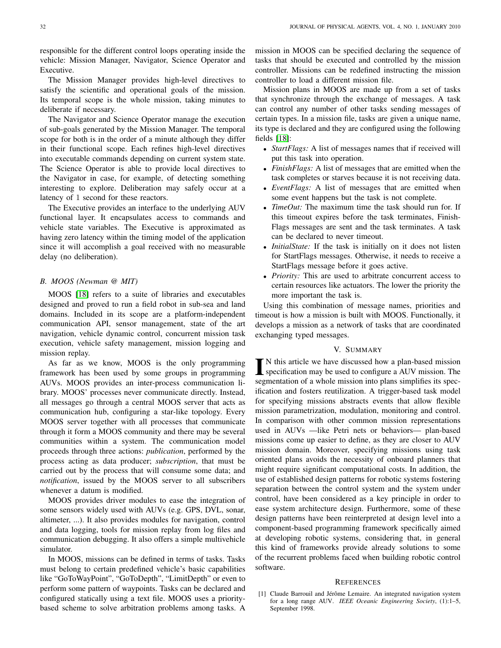responsible for the different control loops operating inside the vehicle: Mission Manager, Navigator, Science Operator and Executive.

The Mission Manager provides high-level directives to satisfy the scientific and operational goals of the mission. Its temporal scope is the whole mission, taking minutes to deliberate if necessary.

The Navigator and Science Operator manage the execution of sub-goals generated by the Mission Manager. The temporal scope for both is in the order of a minute although they differ in their functional scope. Each refines high-level directives into executable commands depending on current system state. The Science Operator is able to provide local directives to the Navigator in case, for example, of detecting something interesting to explore. Deliberation may safely occur at a latency of 1 second for these reactors.

The Executive provides an interface to the underlying AUV functional layer. It encapsulates access to commands and vehicle state variables. The Executive is approximated as having zero latency within the timing model of the application since it will accomplish a goal received with no measurable delay (no deliberation).

#### *B. MOOS (Newman @ MIT)*

MOOS [\[18\]](#page-8-23) refers to a suite of libraries and executables designed and proved to run a field robot in sub-sea and land domains. Included in its scope are a platform-independent communication API, sensor management, state of the art navigation, vehicle dynamic control, concurrent mission task execution, vehicle safety management, mission logging and mission replay.

As far as we know, MOOS is the only programming framework has been used by some groups in programming AUVs. MOOS provides an inter-process communication library. MOOS' processes never communicate directly. Instead, all messages go through a central MOOS server that acts as communication hub, configuring a star-like topology. Every MOOS server together with all processes that communicate through it form a MOOS community and there may be several communities within a system. The communication model proceeds through three actions: *publication*, performed by the process acting as data producer; *subscription*, that must be carried out by the process that will consume some data; and *notification*, issued by the MOOS server to all subscribers whenever a datum is modified.

MOOS provides driver modules to ease the integration of some sensors widely used with AUVs (e.g. GPS, DVL, sonar, altimeter, ...). It also provides modules for navigation, control and data logging, tools for mission replay from log files and communication debugging. It also offers a simple multivehicle simulator.

In MOOS, missions can be defined in terms of tasks. Tasks must belong to certain predefined vehicle's basic capabilities like "GoToWayPoint", "GoToDepth", "LimitDepth" or even to perform some pattern of waypoints. Tasks can be declared and configured statically using a text file. MOOS uses a prioritybased scheme to solve arbitration problems among tasks. A mission in MOOS can be specified declaring the sequence of tasks that should be executed and controlled by the mission controller. Missions can be redefined instructing the mission controller to load a different mission file.

Mission plans in MOOS are made up from a set of tasks that synchronize through the exchange of messages. A task can control any number of other tasks sending messages of certain types. In a mission file, tasks are given a unique name, its type is declared and they are configured using the following fields [\[18\]](#page-8-23):

- *StartFlags:* A list of messages names that if received will put this task into operation.
- *FinishFlags:* A list of messages that are emitted when the task completes or starves because it is not receiving data.
- *EventFlags:* A list of messages that are emitted when some event happens but the task is not complete.
- *TimeOut:* The maximum time the task should run for. If this timeout expires before the task terminates, Finish-Flags messages are sent and the task terminates. A task can be declared to never timeout.
- *InitialState:* If the task is initially on it does not listen for StartFlags messages. Otherwise, it needs to receive a StartFlags message before it goes active.
- *Priority:* This are used to arbitrate concurrent access to certain resources like actuators. The lower the priority the more important the task is.

Using this combination of message names, priorities and timeout is how a mission is built with MOOS. Functionally, it develops a mission as a network of tasks that are coordinated exchanging typed messages.

## V. SUMMARY

 $\prod_{n=1}^{\infty}$ N this article we have discussed how a plan-based mission specification may be used to configure a AUV mission. The specification may be used to configure a AUV mission. The segmentation of a whole mission into plans simplifies its specification and fosters reutilization. A trigger-based task model for specifying missions abstracts events that allow flexible mission parametrization, modulation, monitoring and control. In comparison with other common mission representations used in AUVs —like Petri nets or behaviors— plan-based missions come up easier to define, as they are closer to AUV mission domain. Moreover, specifying missions using task oriented plans avoids the necessity of onboard planners that might require significant computational costs. In addition, the use of established design patterns for robotic systems fostering separation between the control system and the system under control, have been considered as a key principle in order to ease system architecture design. Furthermore, some of these design patterns have been reinterpreted at design level into a component-based programming framework specifically aimed at developing robotic systems, considering that, in general this kind of frameworks provide already solutions to some of the recurrent problems faced when building robotic control software.

#### **REFERENCES**

<span id="page-7-0"></span><sup>[1]</sup> Claude Barrouil and Jérôme Lemaire. An integrated navigation system for a long range AUV. *IEEE Oceanic Engineering Society*, (1):1–5, September 1998.